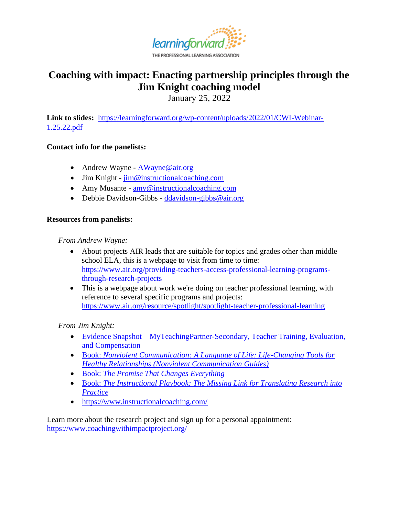

# THE PROFESSIONAL LEARNING ASSOCIATION

# **Coaching with impact: Enacting partnership principles through the Jim Knight coaching model**

January 25, 2022

**Link to slides[:](https://learningforward.org/wp-content/uploads/2020/05/Webinar_5-21-20.pdf)** [https://learningforward.org/wp-content/uploads/2022/01/CWI-Webinar-](https://learningforward.org/wp-content/uploads/2022/01/CWI-Webinar-1.25.22.pdf)[1.25.22.pdf](https://learningforward.org/wp-content/uploads/2022/01/CWI-Webinar-1.25.22.pdf)

## **Contact info for the panelists:**

- Andrew Wayne [AWayne@air.org](mailto:AWayne@air.org)
- Jim Knight  $\lim_{m \to \infty}$  instructional coaching.com
- Amy Musante [amy@instructionalcoaching.com](mailto:amy@instructionalcoaching.com)
- Debbie Davidson-Gibbs [ddavidson-gibbs@air.org](mailto:ddavidson-gibbs@air.org)

## **Resources from panelists:**

*From Andrew Wayne:* 

- About projects AIR leads that are suitable for topics and grades other than middle school ELA, this is a webpage to visit from time to time: [https://www.air.org/providing-teachers-access-professional-learning-programs](https://www.air.org/providing-teachers-access-professional-learning-programs-through-research-projects)[through-research-projects](https://www.air.org/providing-teachers-access-professional-learning-programs-through-research-projects)
- This is a webpage about work we're doing on teacher professional learning, with reference to several specific programs and projects: <https://www.air.org/resource/spotlight/spotlight-teacher-professional-learning>

*From Jim Knight:*

- Evidence Snapshot [MyTeachingPartner-Secondary, Teacher Training, Evaluation,](https://ies.ed.gov/ncee/wwc/InterventionReport/635)  [and Compensation](https://ies.ed.gov/ncee/wwc/InterventionReport/635)
- Book: *[Nonviolent Communication: A Language of Life: Life-Changing Tools for](https://www.amazon.com/Nonviolent-Communication-Language-Life-Changing-Relationships/dp/189200528X)  [Healthy Relationships \(Nonviolent Communication Guides\)](https://www.amazon.com/Nonviolent-Communication-Language-Life-Changing-Relationships/dp/189200528X)*
- Book: *[The Promise That Changes Everything](https://www.amazon.com/The-Promise-That-Changes-Everything/dp/0241423511)*
- Book: *[The Instructional Playbook: The Missing Link for Translating Research into](https://www.amazon.com/Instructional-Playbook-Translating-Research-Practice/dp/1416629920/ref=sr_1_1?gclid=Cj0KCQiA_8OPBhDtARIsAKQu0gYvzV3_mh3bArFF1tLHtIkPE98tSjCYM2kZ0hsfBo_59VhgoeCQxY4aAv3cEALw_wcB&hvadid=558584263354&hvdev=c&hvlocint=9026945&hvlocphy=1008141&hvnetw=g&hvqmt=e&hvrand=5369085371627068996&hvtargid=kwd-857086767774&hydadcr=22566_10355100&keywords=the+instructional+playbook&qid=1643206964&s=books&sr=1-1)  [Practice](https://www.amazon.com/Instructional-Playbook-Translating-Research-Practice/dp/1416629920/ref=sr_1_1?gclid=Cj0KCQiA_8OPBhDtARIsAKQu0gYvzV3_mh3bArFF1tLHtIkPE98tSjCYM2kZ0hsfBo_59VhgoeCQxY4aAv3cEALw_wcB&hvadid=558584263354&hvdev=c&hvlocint=9026945&hvlocphy=1008141&hvnetw=g&hvqmt=e&hvrand=5369085371627068996&hvtargid=kwd-857086767774&hydadcr=22566_10355100&keywords=the+instructional+playbook&qid=1643206964&s=books&sr=1-1)*
- <https://www.instructionalcoaching.com/>

Learn more about the research project and sign up for a personal appointment: <https://www.coachingwithimpactproject.org/>